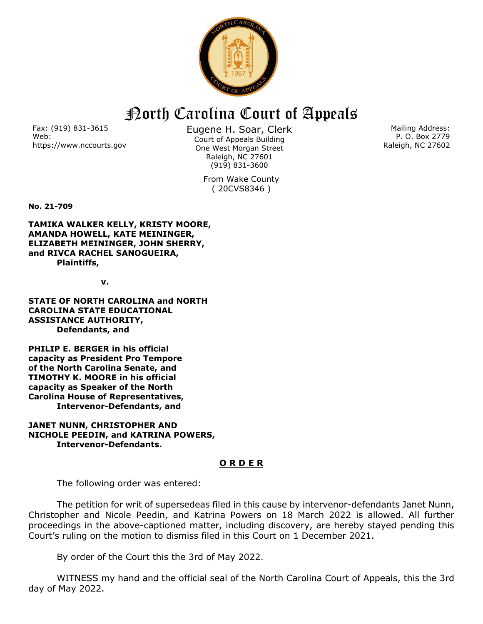

## North Carolina Court of Appeals

Fax: (919) 831-3615 Web: https://www.nccourts.gov Eugene H. Soar, Clerk Court of Appeals Building One West Morgan Street Raleigh, NC 27601 (919) 831-3600

> From Wake County ( 20CVS8346 )

Mailing Address: P. O. Box 2779 Raleigh, NC 27602

**No. 21-709**

**TAMIKA WALKER KELLY, KRISTY MOORE, AMANDA HOWELL, KATE MEININGER, ELIZABETH MEININGER, JOHN SHERRY, and RIVCA RACHEL SANOGUEIRA, Plaintiffs,**

*<u>v.</u>* **v.** 

**STATE OF NORTH CAROLINA and NORTH CAROLINA STATE EDUCATIONAL ASSISTANCE AUTHORITY, Defendants, and**

**PHILIP E. BERGER in his official capacity as President Pro Tempore of the North Carolina Senate, and TIMOTHY K. MOORE in his official capacity as Speaker of the North Carolina House of Representatives, Intervenor-Defendants, and**

## **JANET NUNN, CHRISTOPHER AND NICHOLE PEEDIN, and KATRINA POWERS, Intervenor-Defendants.**

## **O R D E R**

The following order was entered:

The petition for writ of supersedeas filed in this cause by intervenor-defendants Janet Nunn, Christopher and Nicole Peedin, and Katrina Powers on 18 March 2022 is allowed. All further proceedings in the above-captioned matter, including discovery, are hereby stayed pending this Court's ruling on the motion to dismiss filed in this Court on 1 December 2021.

By order of the Court this the 3rd of May 2022.

WITNESS my hand and the official seal of the North Carolina Court of Appeals, this the 3rd day of May 2022.